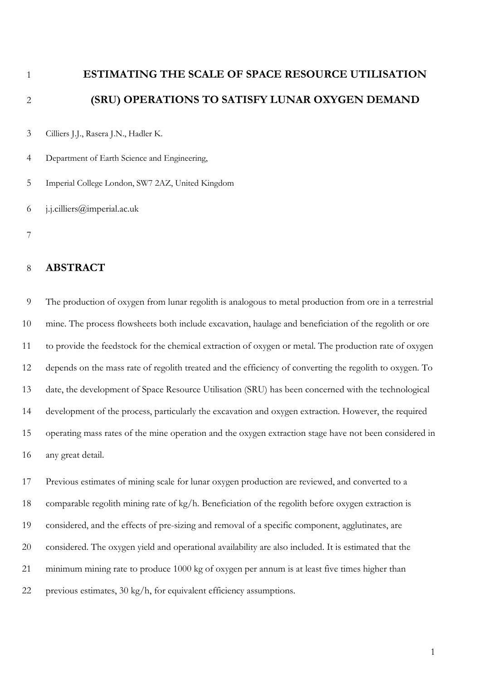**ESTIMATING THE SCALE OF SPACE RESOURCE UTILISATION (SRU) OPERATIONS TO SATISFY LUNAR OXYGEN DEMAND**

Cilliers J.J., Rasera J.N., Hadler K.

Department of Earth Science and Engineering,

Imperial College London, SW7 2AZ, United Kingdom

j.j.cilliers@imperial.ac.uk

## **ABSTRACT**

 The production of oxygen from lunar regolith is analogous to metal production from ore in a terrestrial mine. The process flowsheets both include excavation, haulage and beneficiation of the regolith or ore to provide the feedstock for the chemical extraction of oxygen or metal. The production rate of oxygen depends on the mass rate of regolith treated and the efficiency of converting the regolith to oxygen. To date, the development of Space Resource Utilisation (SRU) has been concerned with the technological development of the process, particularly the excavation and oxygen extraction. However, the required operating mass rates of the mine operation and the oxygen extraction stage have not been considered in any great detail.

 Previous estimates of mining scale for lunar oxygen production are reviewed, and converted to a comparable regolith mining rate of kg/h. Beneficiation of the regolith before oxygen extraction is considered, and the effects of pre-sizing and removal of a specific component, agglutinates, are considered. The oxygen yield and operational availability are also included. It is estimated that the minimum mining rate to produce 1000 kg of oxygen per annum is at least five times higher than previous estimates, 30 kg/h, for equivalent efficiency assumptions.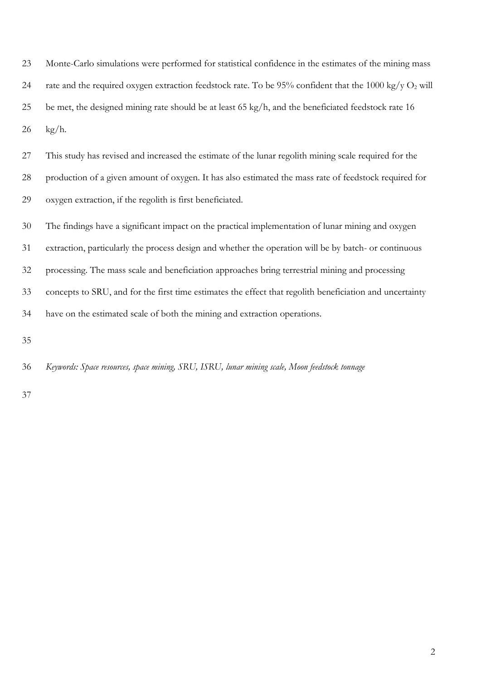Monte-Carlo simulations were performed for statistical confidence in the estimates of the mining mass 24 rate and the required oxygen extraction feedstock rate. To be 95% confident that the 1000 kg/y  $O_2$  will be met, the designed mining rate should be at least 65 kg/h, and the beneficiated feedstock rate 16 kg/h.

 This study has revised and increased the estimate of the lunar regolith mining scale required for the production of a given amount of oxygen. It has also estimated the mass rate of feedstock required for oxygen extraction, if the regolith is first beneficiated.

The findings have a significant impact on the practical implementation of lunar mining and oxygen

extraction, particularly the process design and whether the operation will be by batch- or continuous

processing. The mass scale and beneficiation approaches bring terrestrial mining and processing

concepts to SRU, and for the first time estimates the effect that regolith beneficiation and uncertainty

have on the estimated scale of both the mining and extraction operations.

*Keywords: Space resources, space mining, SRU, ISRU, lunar mining scale, Moon feedstock tonnage*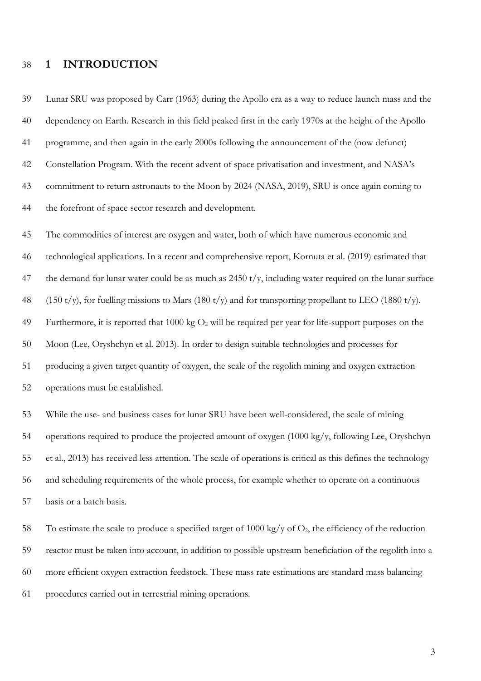### **1 INTRODUCTION**

 Lunar SRU was proposed by Carr (1963) during the Apollo era as a way to reduce launch mass and the dependency on Earth. Research in this field peaked first in the early 1970s at the height of the Apollo programme, and then again in the early 2000s following the announcement of the (now defunct) Constellation Program. With the recent advent of space privatisation and investment, and NASA's commitment to return astronauts to the Moon by 2024 (NASA, 2019), SRU is once again coming to the forefront of space sector research and development.

 The commodities of interest are oxygen and water, both of which have numerous economic and technological applications. In a recent and comprehensive report, Kornuta et al. (2019) estimated that 47 the demand for lunar water could be as much as t/y, including water required on the lunar surface 48 (150 t/y), for fuelling missions to Mars (180 t/y) and for transporting propellant to LEO (1880 t/y). 49 Furthermore, it is reported that 1000 kg  $O_2$  will be required per year for life-support purposes on the Moon (Lee, Oryshchyn et al. 2013). In order to design suitable technologies and processes for producing a given target quantity of oxygen, the scale of the regolith mining and oxygen extraction operations must be established.

 While the use- and business cases for lunar SRU have been well-considered, the scale of mining operations required to produce the projected amount of oxygen (1000 kg/y, following Lee, Oryshchyn et al., 2013) has received less attention. The scale of operations is critical as this defines the technology and scheduling requirements of the whole process, for example whether to operate on a continuous basis or a batch basis.

58 To estimate the scale to produce a specified target of 1000 kg/y of  $O_2$ , the efficiency of the reduction reactor must be taken into account, in addition to possible upstream beneficiation of the regolith into a more efficient oxygen extraction feedstock. These mass rate estimations are standard mass balancing procedures carried out in terrestrial mining operations.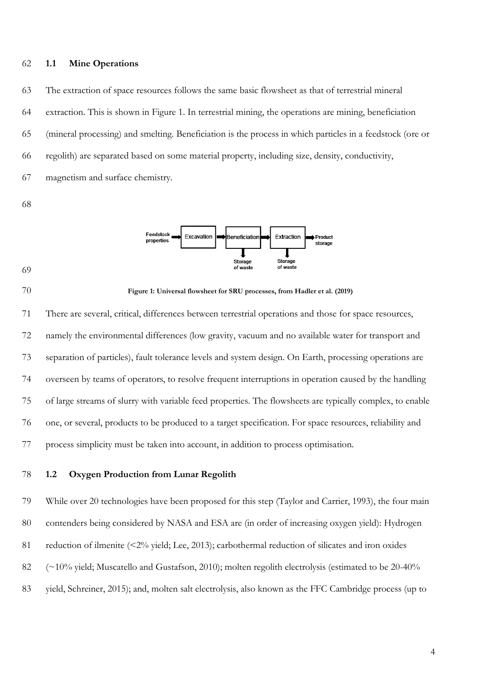### **1.1 Mine Operations**

 The extraction of space resources follows the same basic flowsheet as that of terrestrial mineral extraction. This is shown in [Figure 1.](#page-3-0) In terrestrial mining, the operations are mining, beneficiation (mineral processing) and smelting. Beneficiation is the process in which particles in a feedstock (ore or regolith) are separated based on some material property, including size, density, conductivity, magnetism and surface chemistry.







#### <span id="page-3-0"></span>**Figure 1: Universal flowsheet for SRU processes, from Hadler et al. (2019)**

 There are several, critical, differences between terrestrial operations and those for space resources, namely the environmental differences (low gravity, vacuum and no available water for transport and separation of particles), fault tolerance levels and system design. On Earth, processing operations are overseen by teams of operators, to resolve frequent interruptions in operation caused by the handling of large streams of slurry with variable feed properties. The flowsheets are typically complex, to enable one, or several, products to be produced to a target specification. For space resources, reliability and process simplicity must be taken into account, in addition to process optimisation.

### **1.2 Oxygen Production from Lunar Regolith**

 While over 20 technologies have been proposed for this step (Taylor and Carrier, 1993), the four main 80 contenders being considered by NASA and ESA are (in order of increasing oxygen yield): Hydrogen 81 reduction of ilmenite (<2% yield; Lee, 2013); carbothermal reduction of silicates and iron oxides 82 (~10% yield; Muscatello and Gustafson, 2010); molten regolith electrolysis (estimated to be 20-40%) yield, Schreiner, 2015); and, molten salt electrolysis, also known as the FFC Cambridge process (up to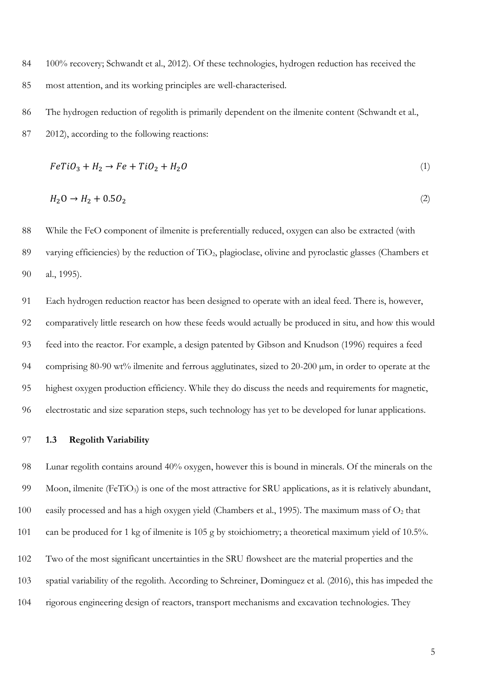- 84 100% recovery; Schwandt et al., 2012). Of these technologies, hydrogen reduction has received the most attention, and its working principles are well-characterised.
- The hydrogen reduction of regolith is primarily dependent on the ilmenite content (Schwandt et al.,
- 2012), according to the following reactions:

$$
FeTiO3 + H2 \rightarrow Fe + TiO2 + H2O
$$
\n
$$
\tag{1}
$$

$$
H_2O \to H_2 + 0.5O_2 \tag{2}
$$

 While the FeO component of ilmenite is preferentially reduced, oxygen can also be extracted (with varying efficiencies) by the reduction of TiO2, plagioclase, olivine and pyroclastic glasses (Chambers et al., 1995).

 Each hydrogen reduction reactor has been designed to operate with an ideal feed. There is, however, comparatively little research on how these feeds would actually be produced in situ, and how this would feed into the reactor. For example, a design patented by Gibson and Knudson (1996) requires a feed comprising 80-90 wt% ilmenite and ferrous agglutinates, sized to 20-200 µm, in order to operate at the highest oxygen production efficiency. While they do discuss the needs and requirements for magnetic, electrostatic and size separation steps, such technology has yet to be developed for lunar applications.

### **1.3 Regolith Variability**

 Lunar regolith contains around 40% oxygen, however this is bound in minerals. Of the minerals on the 99 Moon, ilmenite (FeTiO<sub>3</sub>) is one of the most attractive for SRU applications, as it is relatively abundant, 100 easily processed and has a high oxygen yield (Chambers et al., 1995). The maximum mass of  $O_2$  that can be produced for 1 kg of ilmenite is 105 g by stoichiometry; a theoretical maximum yield of 10.5%.

- Two of the most significant uncertainties in the SRU flowsheet are the material properties and the
- spatial variability of the regolith. According to Schreiner, Dominguez et al. (2016), this has impeded the
- rigorous engineering design of reactors, transport mechanisms and excavation technologies. They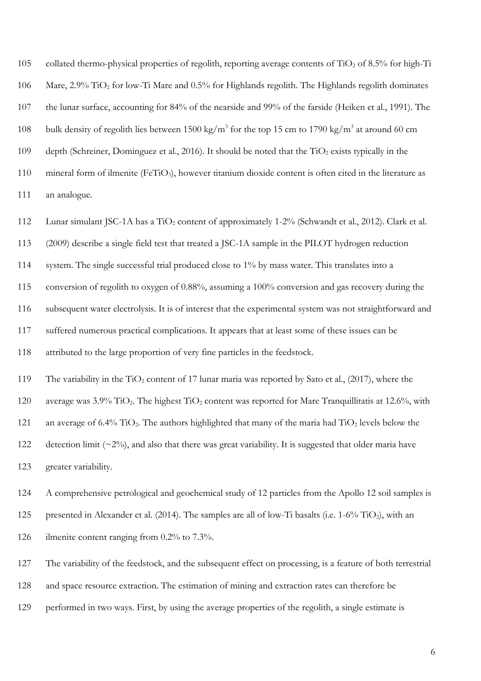105 collated thermo-physical properties of regolith, reporting average contents of TiO<sub>2</sub> of 8.5% for high-Ti 106 Mare, 2.9% TiO<sup>2</sup> for low-Ti Mare and 0.5% for Highlands regolith. The Highlands regolith dominates 107 the lunar surface, accounting for 84% of the nearside and 99% of the farside (Heiken et al., 1991). The 108 bulk density of regolith lies between 1500 kg/m<sup>3</sup> for the top 15 cm to 1790 kg/m<sup>3</sup> at around 60 cm 109 depth (Schreiner, Dominguez et al., 2016). It should be noted that the TiO<sub>2</sub> exists typically in the 110 mineral form of ilmenite (FeTiO<sub>3</sub>), however titanium dioxide content is often cited in the literature as 111 an analogue.

112 Lunar simulant JSC-1A has a TiO<sub>2</sub> content of approximately 1-2% (Schwandt et al., 2012). Clark et al. 113 (2009) describe a single field test that treated a JSC-1A sample in the PILOT hydrogen reduction 114 system. The single successful trial produced close to 1% by mass water. This translates into a 115 conversion of regolith to oxygen of 0.88%, assuming a 100% conversion and gas recovery during the 116 subsequent water electrolysis. It is of interest that the experimental system was not straightforward and 117 suffered numerous practical complications. It appears that at least some of these issues can be 118 attributed to the large proportion of very fine particles in the feedstock. 119 The variability in the TiO<sub>2</sub> content of 17 lunar maria was reported by Sato et al., (2017), where the 120 average was  $3.9\%$  TiO<sub>2</sub>. The highest TiO<sub>2</sub> content was reported for Mare Tranquillitatis at 12.6%, with 121 an average of 6.4% TiO<sub>2</sub>. The authors highlighted that many of the maria had TiO<sub>2</sub> levels below the 122 detection limit  $(\sim 2\%)$ , and also that there was great variability. It is suggested that older maria have 123 greater variability.

124 A comprehensive petrological and geochemical study of 12 particles from the Apollo 12 soil samples is 125 presented in Alexander et al. (2014). The samples are all of low-Ti basalts (i.e. 1-6% TiO<sub>2</sub>), with an 126 ilmenite content ranging from 0.2% to 7.3%.

127 The variability of the feedstock, and the subsequent effect on processing, is a feature of both terrestrial

128 and space resource extraction. The estimation of mining and extraction rates can therefore be

129 performed in two ways. First, by using the average properties of the regolith, a single estimate is

6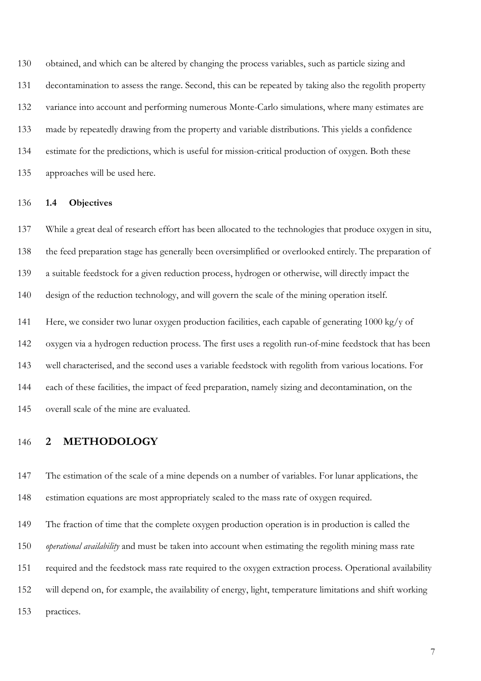obtained, and which can be altered by changing the process variables, such as particle sizing and decontamination to assess the range. Second, this can be repeated by taking also the regolith property 132 variance into account and performing numerous Monte-Carlo simulations, where many estimates are made by repeatedly drawing from the property and variable distributions. This yields a confidence estimate for the predictions, which is useful for mission-critical production of oxygen. Both these approaches will be used here.

### **1.4 Objectives**

 While a great deal of research effort has been allocated to the technologies that produce oxygen in situ, the feed preparation stage has generally been oversimplified or overlooked entirely. The preparation of a suitable feedstock for a given reduction process, hydrogen or otherwise, will directly impact the design of the reduction technology, and will govern the scale of the mining operation itself. Here, we consider two lunar oxygen production facilities, each capable of generating 1000 kg/y of oxygen via a hydrogen reduction process. The first uses a regolith run-of-mine feedstock that has been well characterised, and the second uses a variable feedstock with regolith from various locations. For each of these facilities, the impact of feed preparation, namely sizing and decontamination, on the

overall scale of the mine are evaluated.

### **2 METHODOLOGY**

 The estimation of the scale of a mine depends on a number of variables. For lunar applications, the estimation equations are most appropriately scaled to the mass rate of oxygen required.

The fraction of time that the complete oxygen production operation is in production is called the

*operational availability* and must be taken into account when estimating the regolith mining mass rate

required and the feedstock mass rate required to the oxygen extraction process. Operational availability

will depend on, for example, the availability of energy, light, temperature limitations and shift working

practices.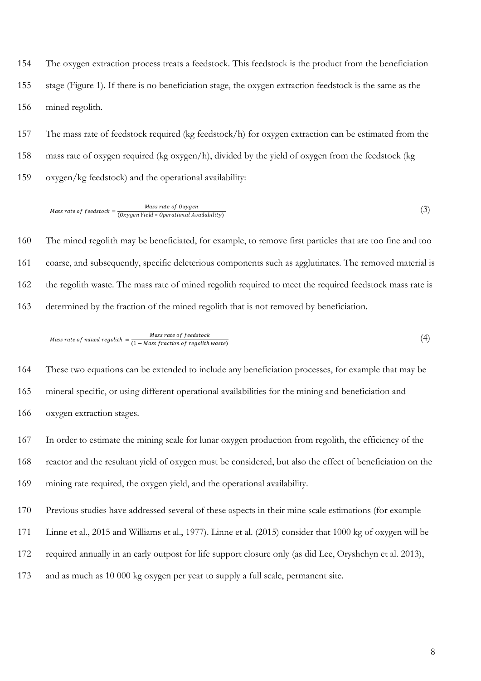The oxygen extraction process treats a feedstock. This feedstock is the product from the beneficiation stage (Figure 1). If there is no beneficiation stage, the oxygen extraction feedstock is the same as the mined regolith.

 The mass rate of feedstock required (kg feedstock/h) for oxygen extraction can be estimated from the mass rate of oxygen required (kg oxygen/h), divided by the yield of oxygen from the feedstock (kg oxygen/kg feedstock) and the operational availability:

$$
Mass\ rate\ of\ feedback = \frac{Mass\ rate\ of\ Oxygen}{(Oxygen\ Yield * Operational\ Availableility)}
$$
 (3)

 The mined regolith may be beneficiated, for example, to remove first particles that are too fine and too coarse, and subsequently, specific deleterious components such as agglutinates. The removed material is the regolith waste. The mass rate of mined regolith required to meet the required feedstock mass rate is determined by the fraction of the mined regolith that is not removed by beneficiation.

Mass rate of mined regolith = 
$$
\frac{Mass\ rate\ of\ feedback}{(1 - Mass\ fraction\ of\ regulation\ weak\ waste)}
$$
 (4)

 These two equations can be extended to include any beneficiation processes, for example that may be mineral specific, or using different operational availabilities for the mining and beneficiation and oxygen extraction stages.

In order to estimate the mining scale for lunar oxygen production from regolith, the efficiency of the

reactor and the resultant yield of oxygen must be considered, but also the effect of beneficiation on the

mining rate required, the oxygen yield, and the operational availability.

Previous studies have addressed several of these aspects in their mine scale estimations (for example

Linne et al., 2015 and Williams et al., 1977). Linne et al. (2015) consider that 1000 kg of oxygen will be

- required annually in an early outpost for life support closure only (as did Lee, Oryshchyn et al. 2013),
- and as much as 10 000 kg oxygen per year to supply a full scale, permanent site.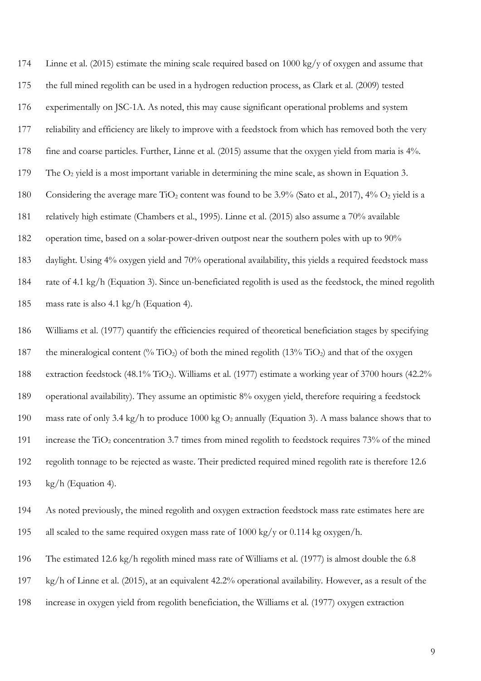Linne et al. (2015) estimate the mining scale required based on 1000 kg/y of oxygen and assume that the full mined regolith can be used in a hydrogen reduction process, as Clark et al. (2009) tested experimentally on JSC-1A. As noted, this may cause significant operational problems and system reliability and efficiency are likely to improve with a feedstock from which has removed both the very fine and coarse particles. Further, Linne et al. (2015) assume that the oxygen yield from maria is 4%. 179 The  $O_2$  yield is a most important variable in determining the mine scale, as shown in Equation 3. 180 Considering the average mare TiO<sub>2</sub> content was found to be 3.9% (Sato et al., 2017), 4% O<sub>2</sub> yield is a relatively high estimate (Chambers et al., 1995). Linne et al. (2015) also assume a 70% available operation time, based on a solar-power-driven outpost near the southern poles with up to 90% daylight. Using 4% oxygen yield and 70% operational availability, this yields a required feedstock mass rate of 4.1 kg/h (Equation 3). Since un-beneficiated regolith is used as the feedstock, the mined regolith mass rate is also 4.1 kg/h (Equation 4).

 Williams et al. (1977) quantify the efficiencies required of theoretical beneficiation stages by specifying 187 the mineralogical content (% TiO<sub>2</sub>) of both the mined regolith (13% TiO<sub>2</sub>) and that of the oxygen 188 extraction feedstock (48.1% TiO<sub>2</sub>). Williams et al. (1977) estimate a working year of 3700 hours (42.2% operational availability). They assume an optimistic 8% oxygen yield, therefore requiring a feedstock 190 mass rate of only 3.4 kg/h to produce 1000 kg  $O_2$  annually (Equation 3). A mass balance shows that to 191 increase the  $TiO<sub>2</sub>$  concentration 3.7 times from mined regolith to feedstock requires 73% of the mined regolith tonnage to be rejected as waste. Their predicted required mined regolith rate is therefore 12.6 kg/h (Equation 4).

- As noted previously, the mined regolith and oxygen extraction feedstock mass rate estimates here are all scaled to the same required oxygen mass rate of 1000 kg/y or 0.114 kg oxygen/h.
- The estimated 12.6 kg/h regolith mined mass rate of Williams et al. (1977) is almost double the 6.8
- kg/h of Linne et al. (2015), at an equivalent 42.2% operational availability. However, as a result of the
- increase in oxygen yield from regolith beneficiation, the Williams et al. (1977) oxygen extraction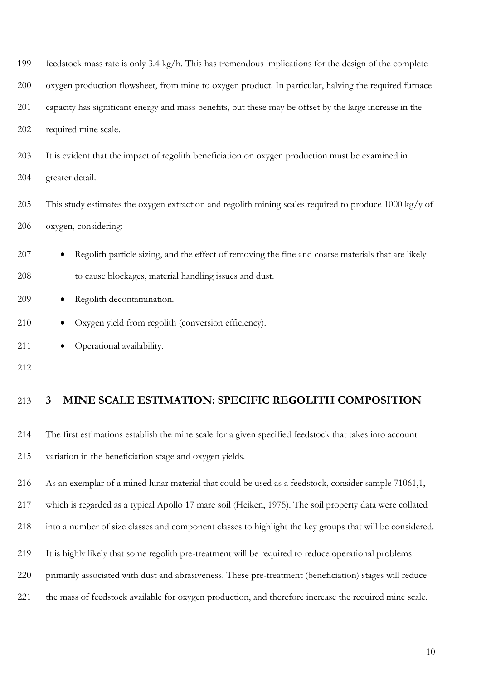| 199 | feedstock mass rate is only 3.4 kg/h. This has tremendous implications for the design of the complete            |
|-----|------------------------------------------------------------------------------------------------------------------|
| 200 | oxygen production flowsheet, from mine to oxygen product. In particular, halving the required furnace            |
| 201 | capacity has significant energy and mass benefits, but these may be offset by the large increase in the          |
| 202 | required mine scale.                                                                                             |
| 203 | It is evident that the impact of regolith beneficiation on oxygen production must be examined in                 |
| 204 | greater detail.                                                                                                  |
| 205 | This study estimates the oxygen extraction and regolith mining scales required to produce $1000 \text{ kg/y}$ of |
| 206 | oxygen, considering:                                                                                             |
| 207 | Regolith particle sizing, and the effect of removing the fine and coarse materials that are likely               |
| 208 | to cause blockages, material handling issues and dust.                                                           |
| 209 | Regolith decontamination.<br>$\bullet$                                                                           |
| 210 | Oxygen yield from regolith (conversion efficiency).                                                              |
| 211 | Operational availability.                                                                                        |
| 212 |                                                                                                                  |
| 213 | MINE SCALE ESTIMATION: SPECIFIC REGOLITH COMPOSITION<br>$\overline{3}$                                           |

 The first estimations establish the mine scale for a given specified feedstock that takes into account variation in the beneficiation stage and oxygen yields.

As an exemplar of a mined lunar material that could be used as a feedstock, consider sample 71061,1,

which is regarded as a typical Apollo 17 mare soil (Heiken, 1975). The soil property data were collated

into a number of size classes and component classes to highlight the key groups that will be considered.

- It is highly likely that some regolith pre-treatment will be required to reduce operational problems
- primarily associated with dust and abrasiveness. These pre-treatment (beneficiation) stages will reduce
- the mass of feedstock available for oxygen production, and therefore increase the required mine scale.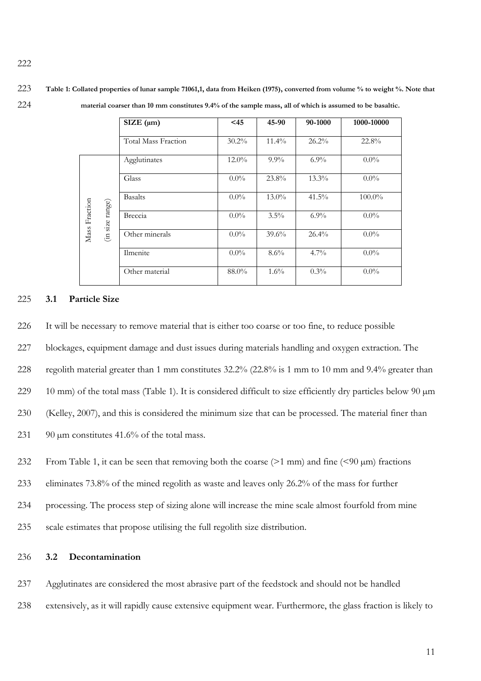<span id="page-10-0"></span>223 **Table 1: Collated properties of lunar sample 71061,1, data from Heiken (1975), converted from volume % to weight %. Note that**  224 **material coarser than 10 mm constitutes 9.4% of the sample mass, all of which is assumed to be basaltic.**

|               |                | SIZE (µm)                  | $<$ 45   | 45-90    | 90-1000  | 1000-10000 |
|---------------|----------------|----------------------------|----------|----------|----------|------------|
|               |                | <b>Total Mass Fraction</b> | $30.2\%$ | $11.4\%$ | $26.2\%$ | 22.8%      |
|               |                | Agglutinates               | $12.0\%$ | $9.9\%$  | $6.9\%$  | $0.0\%$    |
|               | ${\rm range})$ | Glass                      | $0.0\%$  | 23.8%    | $13.3\%$ | $0.0\%$    |
| Mass Fraction |                | <b>Basalts</b>             | $0.0\%$  | $13.0\%$ | $41.5\%$ | $100.0\%$  |
|               |                | Breccia                    | $0.0\%$  | $3.5\%$  | $6.9\%$  | $0.0\%$    |
|               | (in size:      | Other minerals             | $0.0\%$  | 39.6%    | $26.4\%$ | $0.0\%$    |
|               |                | Ilmenite                   | $0.0\%$  | $8.6\%$  | $4.7\%$  | $0.0\%$    |
|               |                | Other material             | 88.0%    | $1.6\%$  | $0.3\%$  | $0.0\%$    |

## 225 **3.1 Particle Size**

226 It will be necessary to remove material that is either too coarse or too fine, to reduce possible

227 blockages, equipment damage and dust issues during materials handling and oxygen extraction. The

228 regolith material greater than 1 mm constitutes 32.2% (22.8% is 1 mm to 10 mm and 9.4% greater than

229 10 mm) of the total mass [\(Table 1\)](#page-10-0). It is considered difficult to size efficiently dry particles below 90  $\mu$ m

230 (Kelley, 2007), and this is considered the minimum size that can be processed. The material finer than

- 231 90  $\mu$ m constitutes 41.6% of the total mass.
- 232 From [Table 1,](#page-10-0) it can be seen that removing both the coarse  $(>1$  mm) and fine  $(< 90 \mu m)$  fractions

233 eliminates 73.8% of the mined regolith as waste and leaves only 26.2% of the mass for further

- 234 processing. The process step of sizing alone will increase the mine scale almost fourfold from mine
- 235 scale estimates that propose utilising the full regolith size distribution.

### 236 **3.2 Decontamination**

237 Agglutinates are considered the most abrasive part of the feedstock and should not be handled

238 extensively, as it will rapidly cause extensive equipment wear. Furthermore, the glass fraction is likely to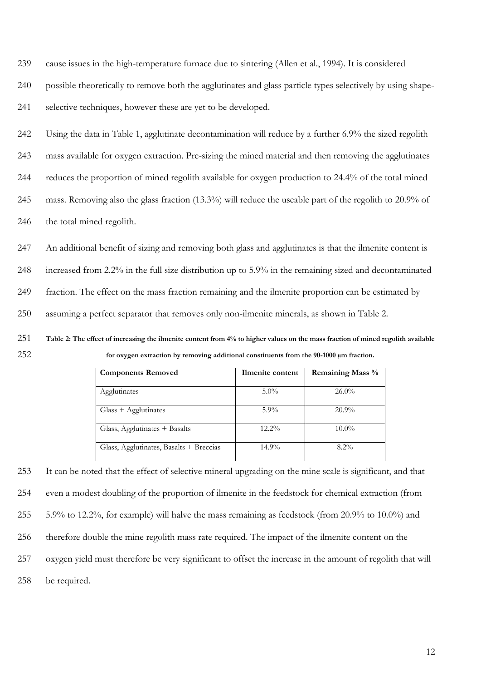cause issues in the high-temperature furnace due to sintering (Allen et al., 1994). It is considered

possible theoretically to remove both the agglutinates and glass particle types selectively by using shape-

selective techniques, however these are yet to be developed.

 Using the data in [Table 1,](#page-10-0) agglutinate decontamination will reduce by a further 6.9% the sized regolith mass available for oxygen extraction. Pre-sizing the mined material and then removing the agglutinates reduces the proportion of mined regolith available for oxygen production to 24.4% of the total mined mass. Removing also the glass fraction (13.3%) will reduce the useable part of the regolith to 20.9% of 246 the total mined regolith.

 An additional benefit of sizing and removing both glass and agglutinates is that the ilmenite content is increased from 2.2% in the full size distribution up to 5.9% in the remaining sized and decontaminated fraction. The effect on the mass fraction remaining and the ilmenite proportion can be estimated by assuming a perfect separator that removes only non-ilmenite minerals, as shown in [Table 2.](#page-11-0)

<span id="page-11-0"></span> **Table 2: The effect of increasing the ilmenite content from 4% to higher values on the mass fraction of mined regolith available for oxygen extraction by removing additional constituents from the 90-1000 µm fraction.**

| <b>Components Removed</b>               | Ilmenite content | <b>Remaining Mass %</b> |
|-----------------------------------------|------------------|-------------------------|
|                                         |                  |                         |
| Agglutinates                            | $5.0\%$          | $26.0\%$                |
| $Glass + Agglutinates$                  | $5.9\%$          | $20.9\%$                |
| Glass, Agglutinates + Basalts           | $12.2\%$         | $10.0\%$                |
| Glass, Agglutinates, Basalts + Breccias | $14.9\%$         | $8.2\%$                 |

 It can be noted that the effect of selective mineral upgrading on the mine scale is significant, and that even a modest doubling of the proportion of ilmenite in the feedstock for chemical extraction (from 5.9% to 12.2%, for example) will halve the mass remaining as feedstock (from 20.9% to 10.0%) and therefore double the mine regolith mass rate required. The impact of the ilmenite content on the oxygen yield must therefore be very significant to offset the increase in the amount of regolith that will be required.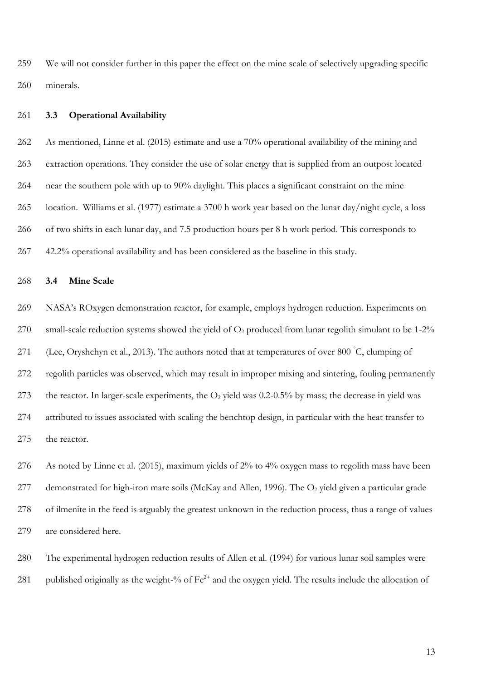We will not consider further in this paper the effect on the mine scale of selectively upgrading specific minerals.

### **3.3 Operational Availability**

 As mentioned, Linne et al. (2015) estimate and use a 70% operational availability of the mining and extraction operations. They consider the use of solar energy that is supplied from an outpost located near the southern pole with up to 90% daylight. This places a significant constraint on the mine location. Williams et al. (1977) estimate a 3700 h work year based on the lunar day/night cycle, a loss of two shifts in each lunar day, and 7.5 production hours per 8 h work period. This corresponds to 42.2% operational availability and has been considered as the baseline in this study.

### **3.4 Mine Scale**

 NASA's ROxygen demonstration reactor, for example, employs hydrogen reduction. Experiments on 270 small-scale reduction systems showed the yield of  $O_2$  produced from lunar regolith simulant to be 1-2% 271 (Lee, Oryshchyn et al., 2013). The authors noted that at temperatures of over 800  $\degree$ C, clumping of regolith particles was observed, which may result in improper mixing and sintering, fouling permanently 273 the reactor. In larger-scale experiments, the  $O_2$  yield was 0.2-0.5% by mass; the decrease in yield was attributed to issues associated with scaling the benchtop design, in particular with the heat transfer to the reactor.

 As noted by Linne et al. (2015), maximum yields of 2% to 4% oxygen mass to regolith mass have been 277 demonstrated for high-iron mare soils (McKay and Allen, 1996). The O<sub>2</sub> yield given a particular grade of ilmenite in the feed is arguably the greatest unknown in the reduction process, thus a range of values are considered here.

 The experimental hydrogen reduction results of Allen et al. (1994) for various lunar soil samples were 281 published originally as the weight-% of  $Fe^{2+}$  and the oxygen yield. The results include the allocation of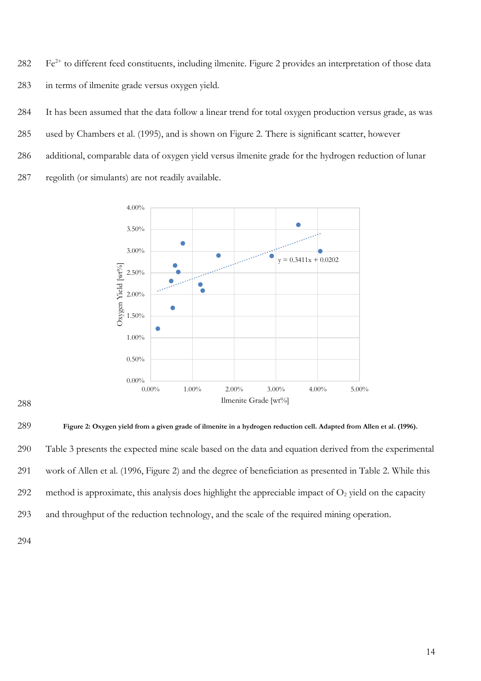282 Fe<sup>2+</sup> to different feed constituents, including ilmenite. [Figure 2](#page-13-0) provides an interpretation of those data 283 in terms of ilmenite grade versus oxygen yield.

 It has been assumed that the data follow a linear trend for total oxygen production versus grade, as was used by Chambers et al. (1995), and is shown on Figure 2. There is significant scatter, however additional, comparable data of oxygen yield versus ilmenite grade for the hydrogen reduction of lunar regolith (or simulants) are not readily available.



288

<span id="page-13-0"></span>

290 [Table 3](#page-14-0) presents the expected mine scale based on the data and equation derived from the experimental 291 work of Allen et al. (1996, Figure 2) and the degree of beneficiation as presented in Table 2. While this

292 method is approximate, this analysis does highlight the appreciable impact of  $O<sub>2</sub>$  yield on the capacity

293 and throughput of the reduction technology, and the scale of the required mining operation.

294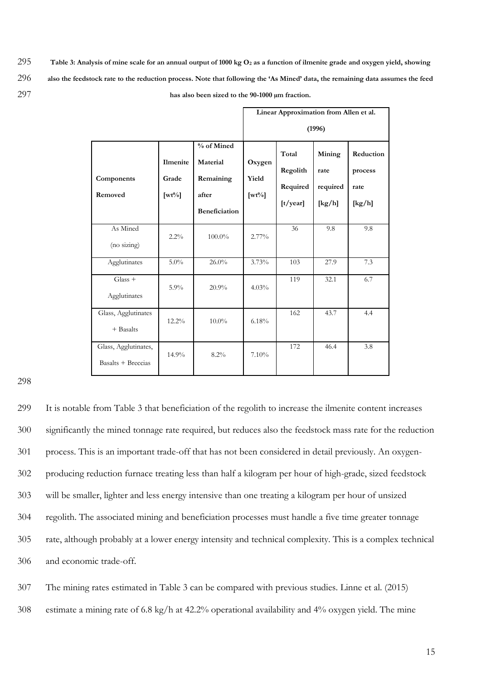<span id="page-14-0"></span>295 **Table 3: Analysis of mine scale for an annual output of 1000 kg O<sup>2</sup> as a function of ilmenite grade and oxygen yield, showing**  296 **also the feedstock rate to the reduction process. Note that following the 'As Mined' data, the remaining data assumes the feed**  297 **has also been sized to the 90-1000 µm fraction.**

|                                            |                                      |                                                                      |                                    |                                           |                                      | Linear Approximation from Allen et al. |  |
|--------------------------------------------|--------------------------------------|----------------------------------------------------------------------|------------------------------------|-------------------------------------------|--------------------------------------|----------------------------------------|--|
|                                            |                                      |                                                                      | (1996)                             |                                           |                                      |                                        |  |
| Components<br>Removed                      | Ilmenite<br>Grade<br>$[\text{wt}\%]$ | % of Mined<br>Material<br>Remaining<br>after<br><b>Beneficiation</b> | Oxygen<br>Yield<br>$[\text{wt}\%]$ | Total<br>Regolith<br>Required<br>[t/year] | Mining<br>rate<br>required<br>[kg/h] | Reduction<br>process<br>rate<br>[kg/h] |  |
| As Mined<br>(no sizing)                    | $2.2\%$                              | 100.0%                                                               | 2.77%                              | 36                                        | 9.8                                  | 9.8                                    |  |
| Agglutinates                               | 5.0%                                 | 26.0%                                                                | 3.73%                              | 103                                       | 27.9                                 | 7.3                                    |  |
| $Glass +$<br>Agglutinates                  | $5.9\%$                              | 20.9%                                                                | 4.03%                              | 119                                       | 32.1                                 | 6.7                                    |  |
| Glass, Agglutinates<br>$+$ Basalts         | $12.2\%$                             | $10.0\%$                                                             | 6.18%                              | 162                                       | 43.7                                 | 4.4                                    |  |
| Glass, Agglutinates,<br>Basalts + Breccias | 14.9%                                | 8.2%                                                                 | 7.10%                              | 172                                       | 46.4                                 | 3.8                                    |  |

298

 It is notable from Table 3 that beneficiation of the regolith to increase the ilmenite content increases significantly the mined tonnage rate required, but reduces also the feedstock mass rate for the reduction process. This is an important trade-off that has not been considered in detail previously. An oxygen- producing reduction furnace treating less than half a kilogram per hour of high-grade, sized feedstock will be smaller, lighter and less energy intensive than one treating a kilogram per hour of unsized regolith. The associated mining and beneficiation processes must handle a five time greater tonnage rate, although probably at a lower energy intensity and technical complexity. This is a complex technical and economic trade-off.

307 The mining rates estimated in [Table 3](#page-14-0) can be compared with previous studies. Linne et al. (2015) 308 estimate a mining rate of 6.8 kg/h at 42.2% operational availability and 4% oxygen yield. The mine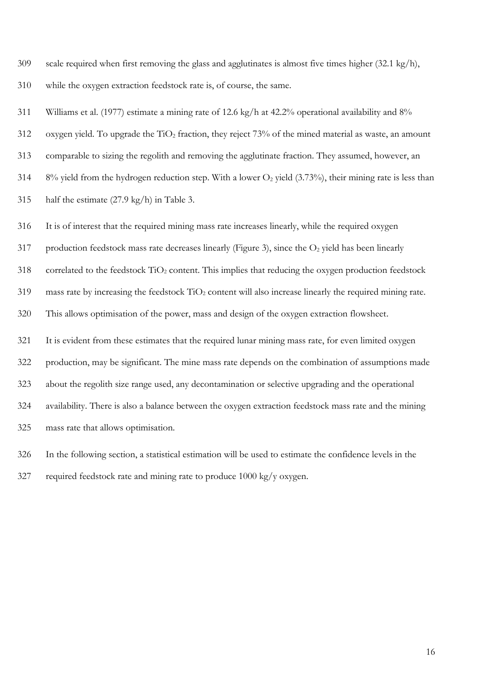scale required when first removing the glass and agglutinates is almost five times higher (32.1 kg/h), while the oxygen extraction feedstock rate is, of course, the same.

Williams et al. (1977) estimate a mining rate of 12.6 kg/h at 42.2% operational availability and 8%

312 oxygen yield. To upgrade the  $TiO<sub>2</sub>$  fraction, they reject 73% of the mined material as waste, an amount

comparable to sizing the regolith and removing the agglutinate fraction. They assumed, however, an

314 8% yield from the hydrogen reduction step. With a lower  $O_2$  yield (3.73%), their mining rate is less than

half the estimate (27.9 kg/h) in Table 3.

It is of interest that the required mining mass rate increases linearly, while the required oxygen

317 production feedstock mass rate decreases linearly [\(Figure 3\)](#page-16-0), since the  $O<sub>2</sub>$  yield has been linearly

318 correlated to the feedstock  $TiO<sub>2</sub>$  content. This implies that reducing the oxygen production feedstock

mass rate by increasing the feedstock  $TiO<sub>2</sub>$  content will also increase linearly the required mining rate.

This allows optimisation of the power, mass and design of the oxygen extraction flowsheet.

 It is evident from these estimates that the required lunar mining mass rate, for even limited oxygen production, may be significant. The mine mass rate depends on the combination of assumptions made about the regolith size range used, any decontamination or selective upgrading and the operational availability. There is also a balance between the oxygen extraction feedstock mass rate and the mining mass rate that allows optimisation.

In the following section, a statistical estimation will be used to estimate the confidence levels in the

327 required feedstock rate and mining rate to produce  $1000 \text{ kg/y}$  oxygen.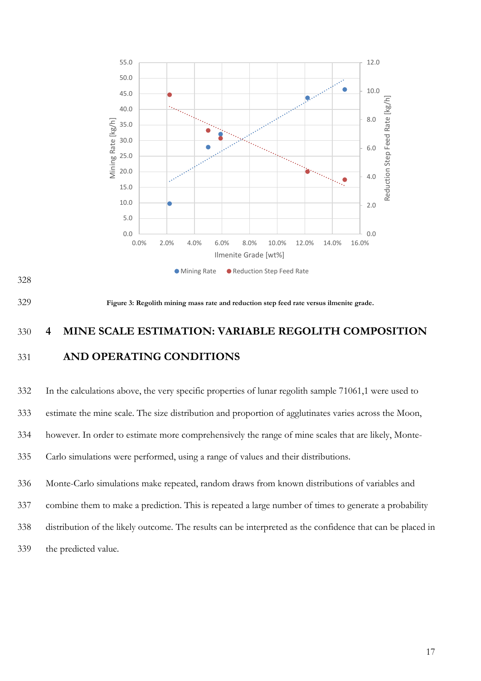



<span id="page-16-0"></span>

# 330 **4 MINE SCALE ESTIMATION: VARIABLE REGOLITH COMPOSITION** 331 **AND OPERATING CONDITIONS**

 In the calculations above, the very specific properties of lunar regolith sample 71061,1 were used to estimate the mine scale. The size distribution and proportion of agglutinates varies across the Moon, however. In order to estimate more comprehensively the range of mine scales that are likely, Monte- Carlo simulations were performed, using a range of values and their distributions. Monte-Carlo simulations make repeated, random draws from known distributions of variables and combine them to make a prediction. This is repeated a large number of times to generate a probability distribution of the likely outcome. The results can be interpreted as the confidence that can be placed in the predicted value.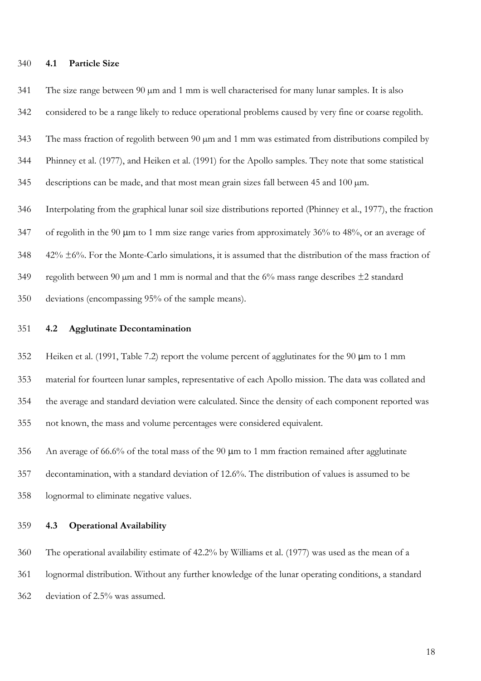### **4.1 Particle Size**

341 The size range between 90  $\mu$ m and 1 mm is well characterised for many lunar samples. It is also

considered to be a range likely to reduce operational problems caused by very fine or coarse regolith.

The mass fraction of regolith between 90 µm and 1 mm was estimated from distributions compiled by

Phinney et al. (1977), and Heiken et al. (1991) for the Apollo samples. They note that some statistical

345 descriptions can be made, and that most mean grain sizes fall between 45 and 100  $\mu$ m.

 Interpolating from the graphical lunar soil size distributions reported (Phinney et al., 1977), the fraction 347 of regolith in the 90  $\mu$ m to 1 mm size range varies from approximately 36% to 48%, or an average of 42%  $\pm$ 6%. For the Monte-Carlo simulations, it is assumed that the distribution of the mass fraction of 349 regolith between 90  $\mu$ m and 1 mm is normal and that the 6% mass range describes  $\pm$ 2 standard

deviations (encompassing 95% of the sample means).

### **4.2 Agglutinate Decontamination**

 Heiken et al. (1991, Table 7.2) report the volume percent of agglutinates for the 90 µm to 1 mm material for fourteen lunar samples, representative of each Apollo mission. The data was collated and the average and standard deviation were calculated. Since the density of each component reported was not known, the mass and volume percentages were considered equivalent.

356 An average of 66.6% of the total mass of the 90  $\mu$ m to 1 mm fraction remained after agglutinate decontamination, with a standard deviation of 12.6%. The distribution of values is assumed to be lognormal to eliminate negative values.

### **4.3 Operational Availability**

 The operational availability estimate of 42.2% by Williams et al. (1977) was used as the mean of a lognormal distribution. Without any further knowledge of the lunar operating conditions, a standard deviation of 2.5% was assumed.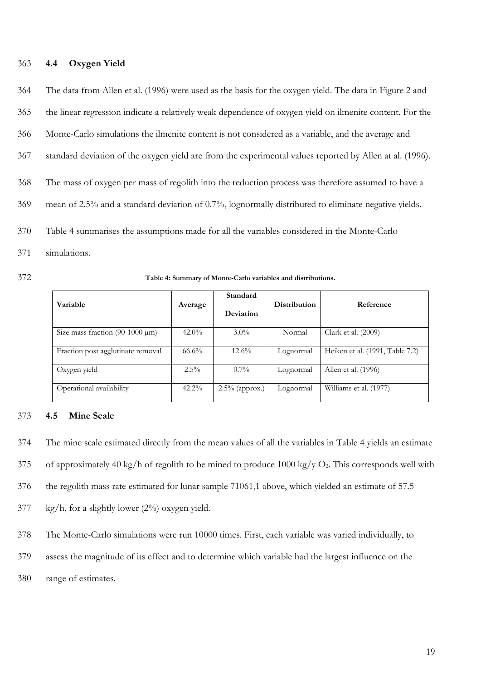### **4.4 Oxygen Yield**

 The data from Allen et al. (1996) were used as the basis for the oxygen yield. The data in Figure 2 and the linear regression indicate a relatively weak dependence of oxygen yield on ilmenite content. For the Monte-Carlo simulations the ilmenite content is not considered as a variable, and the average and standard deviation of the oxygen yield are from the experimental values reported by Allen at al. (1996). The mass of oxygen per mass of regolith into the reduction process was therefore assumed to have a mean of 2.5% and a standard deviation of 0.7%, lognormally distributed to eliminate negative yields. [Table 4](#page-18-0) summarises the assumptions made for all the variables considered in the Monte-Carlo simulations.

| 372 | Table 4: Summary of Monte-Carlo variables and distributions. |
|-----|--------------------------------------------------------------|
|-----|--------------------------------------------------------------|

<span id="page-18-0"></span>

| Variable                             | Average  | Standard<br>Deviation | Distribution | Reference                       |
|--------------------------------------|----------|-----------------------|--------------|---------------------------------|
| Size mass fraction $(90-1000 \mu m)$ | $42.0\%$ | $3.0\%$               | Normal       | Clark et al. (2009)             |
| Fraction post agglutinate removal    | $66.6\%$ | $12.6\%$              | Lognormal    | Heiken et al. (1991, Table 7.2) |
| Oxygen yield                         | $2.5\%$  | $0.7\%$               | Lognormal    | Allen et al. (1996)             |
| Operational availability             | $42.2\%$ | $2.5\%$ (approx.)     | Lognormal    | Williams et al. (1977)          |

### **4.5 Mine Scale**

The mine scale estimated directly from the mean values of all the variables in [Table 4](#page-18-0) yields an estimate

375 of approximately 40 kg/h of regolith to be mined to produce  $1000 \text{ kg/y O}_2$ . This corresponds well with

the regolith mass rate estimated for lunar sample 71061,1 above, which yielded an estimate of 57.5

kg/h, for a slightly lower (2%) oxygen yield.

The Monte-Carlo simulations were run 10000 times. First, each variable was varied individually, to

assess the magnitude of its effect and to determine which variable had the largest influence on the

range of estimates.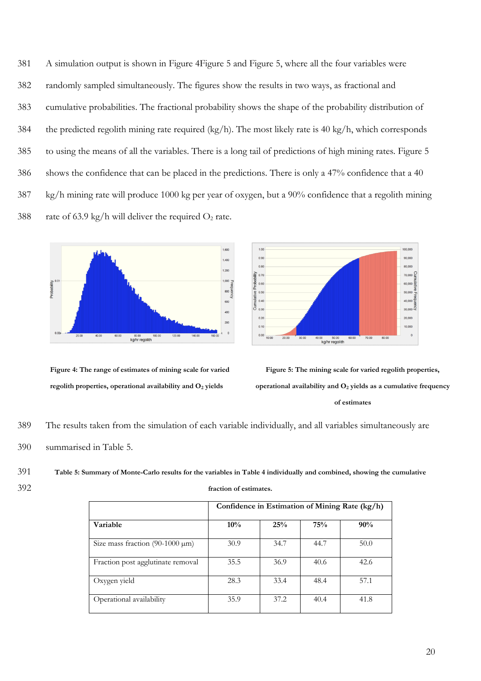A simulation output is shown in Figure [4Figure 5](#page-19-0) and Figure 5, where all the four variables were randomly sampled simultaneously. The figures show the results in two ways, as fractional and cumulative probabilities. The fractional probability shows the shape of the probability distribution of the predicted regolith mining rate required (kg/h). The most likely rate is 40 kg/h, which corresponds to using the means of all the variables. There is a long tail of predictions of high mining rates. Figure 5 shows the confidence that can be placed in the predictions. There is only a 47% confidence that a 40 kg/h mining rate will produce 1000 kg per year of oxygen, but a 90% confidence that a regolith mining 388 rate of 63.9 kg/h will deliver the required  $O_2$  rate.



**Figure 4: The range of estimates of mining scale for varied regolith properties, operational availability and O<sup>2</sup> yields**



<span id="page-19-0"></span>**Figure 5: The mining scale for varied regolith properties, operational availability and O<sup>2</sup> yields as a cumulative frequency of estimates**

389 The results taken from the simulation of each variable individually, and all variables simultaneously are

390 summarised in [Table 5.](#page-19-1)

# <span id="page-19-1"></span>391 **Table 5: Summary of Monte-Carlo results for the variables i[n Table 4](#page-18-0) individually and combined, showing the cumulative**

392 **fraction of estimates.**

|                                      | Confidence in Estimation of Mining Rate (kg/h) |      |      |      |
|--------------------------------------|------------------------------------------------|------|------|------|
| Variable                             | 10%                                            | 25%  | 75%  | 90%  |
| Size mass fraction $(90-1000 \mu m)$ | 30.9                                           | 34.7 | 44.7 | 50.0 |
| Fraction post agglutinate removal    | 35.5                                           | 36.9 | 40.6 | 42.6 |
| Oxygen yield                         | 28.3                                           | 33.4 | 48.4 | 57.1 |
| Operational availability             | 35.9                                           | 37.2 | 40.4 | 41.8 |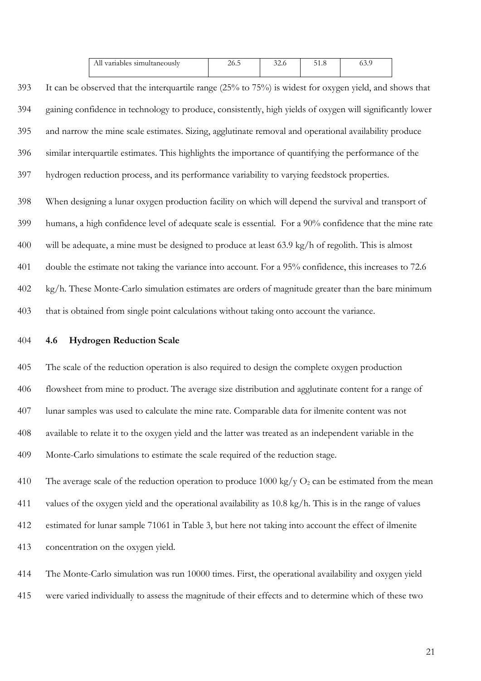| All variables simultaneously | ∠∪. | $\sim$<br><i>JZ.</i> 0 | J 1.0 | ∪.,. |
|------------------------------|-----|------------------------|-------|------|
|                              |     |                        |       |      |

- It can be observed that the interquartile range (25% to 75%) is widest for oxygen yield, and shows that gaining confidence in technology to produce, consistently, high yields of oxygen will significantly lower and narrow the mine scale estimates. Sizing, agglutinate removal and operational availability produce similar interquartile estimates. This highlights the importance of quantifying the performance of the
- hydrogen reduction process, and its performance variability to varying feedstock properties.
- When designing a lunar oxygen production facility on which will depend the survival and transport of humans, a high confidence level of adequate scale is essential. For a 90% confidence that the mine rate will be adequate, a mine must be designed to produce at least 63.9 kg/h of regolith. This is almost double the estimate not taking the variance into account. For a 95% confidence, this increases to 72.6 kg/h. These Monte-Carlo simulation estimates are orders of magnitude greater than the bare minimum that is obtained from single point calculations without taking onto account the variance.
- **4.6 Hydrogen Reduction Scale**

 The scale of the reduction operation is also required to design the complete oxygen production flowsheet from mine to product. The average size distribution and agglutinate content for a range of lunar samples was used to calculate the mine rate. Comparable data for ilmenite content was not available to relate it to the oxygen yield and the latter was treated as an independent variable in the Monte-Carlo simulations to estimate the scale required of the reduction stage.

410 The average scale of the reduction operation to produce 1000 kg/y  $O_2$  can be estimated from the mean values of the oxygen yield and the operational availability as 10.8 kg/h. This is in the range of values estimated for lunar sample 71061 in Table 3, but here not taking into account the effect of ilmenite concentration on the oxygen yield.

 The Monte-Carlo simulation was run 10000 times. First, the operational availability and oxygen yield were varied individually to assess the magnitude of their effects and to determine which of these two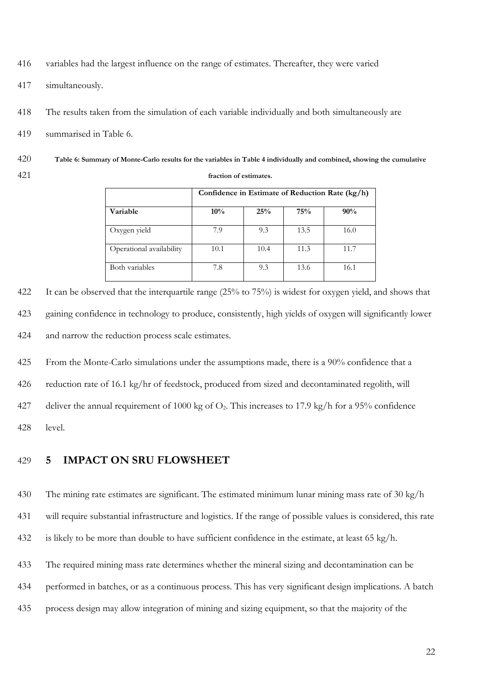- variables had the largest influence on the range of estimates. Thereafter, they were varied
- simultaneously.
- The results taken from the simulation of each variable individually and both simultaneously are
- summarised in Table 6.
- **Table 6: Summary of Monte-Carlo results for the variables i[n Table 4](#page-18-0) individually and combined, showing the cumulative fraction of estimates.**

|                          | Confidence in Estimate of Reduction Rate (kg/h) |      |      |      |  |  |
|--------------------------|-------------------------------------------------|------|------|------|--|--|
| Variable                 | 10%                                             | 25%  | 75%  | 90%  |  |  |
| Oxygen yield             | 7.9                                             | 9.3  | 13.5 | 16.0 |  |  |
| Operational availability | 10.1                                            | 10.4 | 11.3 | 11.7 |  |  |
| Both variables           | 7.8                                             | 9.3  | 13.6 | 16.1 |  |  |

 It can be observed that the interquartile range (25% to 75%) is widest for oxygen yield, and shows that gaining confidence in technology to produce, consistently, high yields of oxygen will significantly lower and narrow the reduction process scale estimates.

From the Monte-Carlo simulations under the assumptions made, there is a 90% confidence that a

reduction rate of 16.1 kg/hr of feedstock, produced from sized and decontaminated regolith, will

427 deliver the annual requirement of 1000 kg of  $O_2$ . This increases to 17.9 kg/h for a 95% confidence

level.

### **5 IMPACT ON SRU FLOWSHEET**

The mining rate estimates are significant. The estimated minimum lunar mining mass rate of 30 kg/h

will require substantial infrastructure and logistics. If the range of possible values is considered, this rate

is likely to be more than double to have sufficient confidence in the estimate, at least 65 kg/h.

The required mining mass rate determines whether the mineral sizing and decontamination can be

performed in batches, or as a continuous process. This has very significant design implications. A batch

process design may allow integration of mining and sizing equipment, so that the majority of the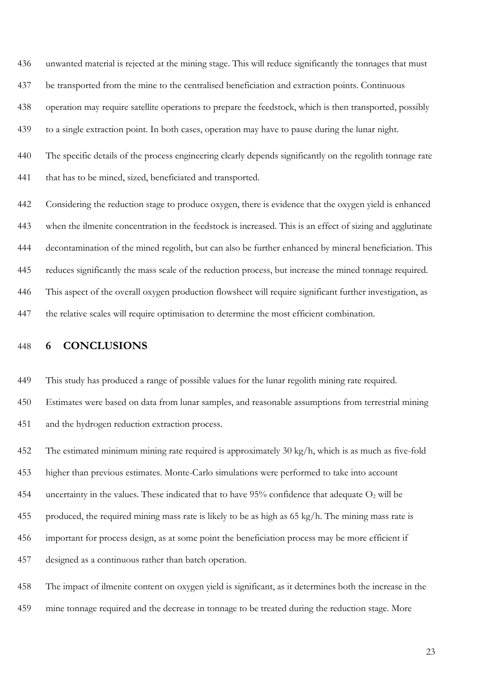unwanted material is rejected at the mining stage. This will reduce significantly the tonnages that must be transported from the mine to the centralised beneficiation and extraction points. Continuous operation may require satellite operations to prepare the feedstock, which is then transported, possibly to a single extraction point. In both cases, operation may have to pause during the lunar night.

 The specific details of the process engineering clearly depends significantly on the regolith tonnage rate 441 that has to be mined, sized, beneficiated and transported.

 Considering the reduction stage to produce oxygen, there is evidence that the oxygen yield is enhanced when the ilmenite concentration in the feedstock is increased. This is an effect of sizing and agglutinate decontamination of the mined regolith, but can also be further enhanced by mineral beneficiation. This reduces significantly the mass scale of the reduction process, but increase the mined tonnage required. This aspect of the overall oxygen production flowsheet will require significant further investigation, as the relative scales will require optimisation to determine the most efficient combination.

## **6 CONCLUSIONS**

This study has produced a range of possible values for the lunar regolith mining rate required.

 Estimates were based on data from lunar samples, and reasonable assumptions from terrestrial mining and the hydrogen reduction extraction process.

The estimated minimum mining rate required is approximately 30 kg/h, which is as much as five-fold

higher than previous estimates. Monte-Carlo simulations were performed to take into account

454 uncertainty in the values. These indicated that to have  $95\%$  confidence that adequate  $O_2$  will be

produced, the required mining mass rate is likely to be as high as 65 kg/h. The mining mass rate is

important for process design, as at some point the beneficiation process may be more efficient if

designed as a continuous rather than batch operation.

 The impact of ilmenite content on oxygen yield is significant, as it determines both the increase in the mine tonnage required and the decrease in tonnage to be treated during the reduction stage. More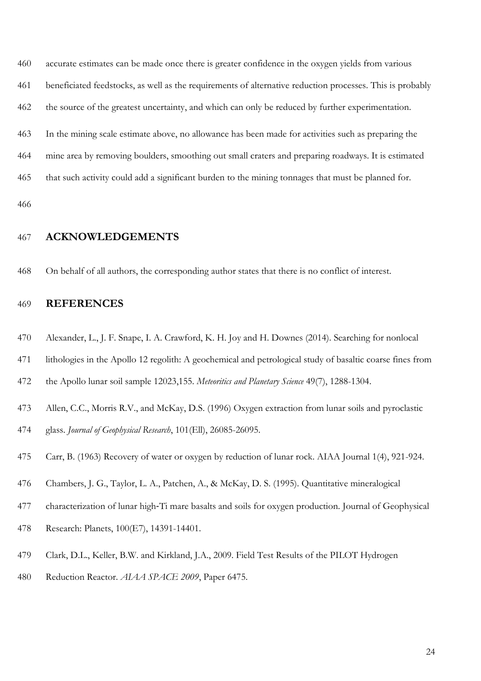accurate estimates can be made once there is greater confidence in the oxygen yields from various beneficiated feedstocks, as well as the requirements of alternative reduction processes. This is probably the source of the greatest uncertainty, and which can only be reduced by further experimentation.

 In the mining scale estimate above, no allowance has been made for activities such as preparing the mine area by removing boulders, smoothing out small craters and preparing roadways. It is estimated

that such activity could add a significant burden to the mining tonnages that must be planned for.

# **ACKNOWLEDGEMENTS**

On behalf of all authors, the corresponding author states that there is no conflict of interest.

### **REFERENCES**

- Alexander, L., J. F. Snape, I. A. Crawford, K. H. Joy and H. Downes (2014). Searching for nonlocal
- lithologies in the Apollo 12 regolith: A geochemical and petrological study of basaltic coarse fines from

the Apollo lunar soil sample 12023,155. *Meteoritics and Planetary Science* 49(7), 1288-1304.

- Allen, C.C., Morris R.V., and McKay, D.S. (1996) Oxygen extraction from lunar soils and pyroclastic
- glass. *Journal of Geophysical Research*, 101(Ell), 26085-26095.
- Carr, B. (1963) Recovery of water or oxygen by reduction of lunar rock. AIAA Journal 1(4), 921-924.
- Chambers, J. G., Taylor, L. A., Patchen, A., & McKay, D. S. (1995). Quantitative mineralogical
- characterization of lunar high‐Ti mare basalts and soils for oxygen production. Journal of Geophysical
- Research: Planets, 100(E7), 14391-14401.
- Clark, D.L., Keller, B.W. and Kirkland, J.A., 2009. Field Test Results of the PILOT Hydrogen
- Reduction Reactor. *AIAA SPACE 2009*, Paper 6475.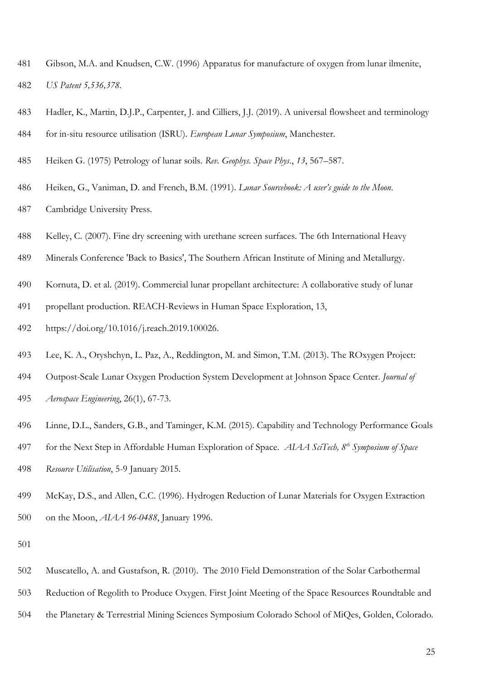- Gibson, M.A. and Knudsen, C.W. (1996) Apparatus for manufacture of oxygen from lunar ilmenite, *US Patent 5,536,378*.
- Hadler, K., Martin, D.J.P., Carpenter, J. and Cilliers, J.J. (2019). A universal flowsheet and terminology
- for in-situ resource utilisation (ISRU). *European Lunar Symposium*, Manchester.
- Heiken G. (1975) Petrology of lunar soils. *Rev. Geophys. Space Phys*., *13*, 567–587.
- Heiken, G., Vaniman, D. and French, B.M. (1991). *Lunar Sourcebook: A user's guide to the Moon*.
- Cambridge University Press.
- Kelley, C. (2007). Fine dry screening with urethane screen surfaces. The 6th International Heavy
- Minerals Conference 'Back to Basics', The Southern African Institute of Mining and Metallurgy.
- Kornuta, D. et al. (2019). Commercial lunar propellant architecture: A collaborative study of lunar
- propellant production. REACH-Reviews in Human Space Exploration, 13,
- https://doi.org/10.1016/j.reach.2019.100026.
- Lee, K. A., Oryshchyn, L. Paz, A., Reddington, M. and Simon, T.M. (2013). The ROxygen Project:
- Outpost-Scale Lunar Oxygen Production System Development at Johnson Space Center. *Journal of*
- *Aerospace Engineering*, 26(1), 67-73.
- Linne, D.L., Sanders, G.B., and Taminger, K.M. (2015). Capability and Technology Performance Goals
- for the Next Step in Affordable Human Exploration of Space. *AIAA SciTech, 8th Symposium of Space*
- *Resource Utilisation*, 5-9 January 2015.
- McKay, D.S., and Allen, C.C. (1996). Hydrogen Reduction of Lunar Materials for Oxygen Extraction
- on the Moon, *AIAA 96-0488*, January 1996.

- Muscatello, A. and Gustafson, R. (2010). The 2010 Field Demonstration of the Solar Carbothermal
- Reduction of Regolith to Produce Oxygen. First Joint Meeting of the Space Resources Roundtable and
- the Planetary & Terrestrial Mining Sciences Symposium Colorado School of MiQes, Golden, Colorado.